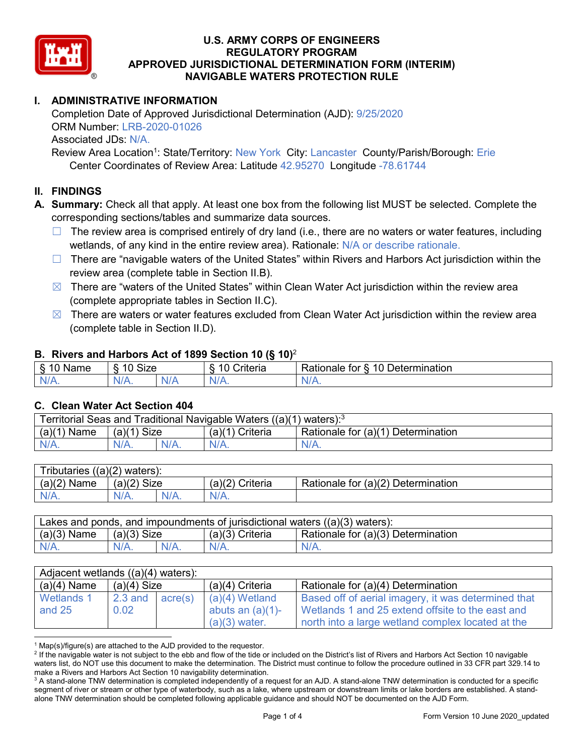

# **I. ADMINISTRATIVE INFORMATION**

Completion Date of Approved Jurisdictional Determination (AJD): 9/25/2020 ORM Number: LRB-2020-01026 Associated JDs: N/A.

Review Area Location<sup>1</sup>: State/Territory: <mark>Ne</mark>w York City: Lancaster County/Parish/Borough: Erie Center Coordinates of Review Area: Latitude 42.95270 Longitude -78.61744

# **II. FINDINGS**

**A. Summary:** Check all that apply. At least one box from the following list MUST be selected. Complete the corresponding sections/tables and summarize data sources.

- $\Box$  The review area is comprised entirely of dry land (i.e., there are no waters or water features, including wetlands, of any kind in the entire review area). Rationale: N/A or describe rationale.
- $\Box$  There are "navigable waters of the United States" within Rivers and Harbors Act jurisdiction within the review area (complete table in Section II.B).
- $\boxtimes$  There are "waters of the United States" within Clean Water Act jurisdiction within the review area (complete appropriate tables in Section II.C).
- $\boxtimes$  There are waters or water features excluded from Clean Water Act jurisdiction within the review area (complete table in Section II.D).

#### **B. Rivers and Harbors Act of 1899 Section 10 (§ 10)**<sup>2</sup>

| $\cdot$                          |                   |                       |                                     |                                                                           |  |  |
|----------------------------------|-------------------|-----------------------|-------------------------------------|---------------------------------------------------------------------------|--|--|
| $\sim$<br>$-1$ on the $-$<br>ане | <b>Size</b><br>10 |                       | $\mathbf{r}$<br>10<br>-<br>;riteria | $\overline{\phantom{0}}$<br>$\Delta$<br>Jetermination<br>tor<br>≺ationaie |  |  |
| $N/A$ .                          | 'N/A.             | $\blacksquare$<br>N/r | $N$ /                               | 'N/A.                                                                     |  |  |

#### **C. Clean Water Act Section 404**

| Territorial Seas and Traditional Navigable Waters ((a)(1)<br>` waters): <sup>3</sup> |                |  |                    |                                    |  |  |
|--------------------------------------------------------------------------------------|----------------|--|--------------------|------------------------------------|--|--|
| (a)(1)<br>Name                                                                       | Size<br>(a)(1) |  | (a)(1)<br>Criteria | Rationale for (a)(1) Determination |  |  |
|                                                                                      | $N/A$ .        |  | $N/A$ .            | $N/A$ .                            |  |  |

| Tributaries $((a)(2)$ waters): |                |         |                 |                                    |  |  |
|--------------------------------|----------------|---------|-----------------|------------------------------------|--|--|
| (a)(2)<br>Name                 | Size<br>(a)(2) |         | (a)(2) Criteria | Rationale for (a)(2) Determination |  |  |
| $N/A$ .                        | $N/A$ .        | $N/A$ . | $N/A$ .         |                                    |  |  |

| Lakes and ponds, and impoundments of jurisdictional waters $((a)(3)$ waters): |               |         |                   |                                    |  |
|-------------------------------------------------------------------------------|---------------|---------|-------------------|------------------------------------|--|
| $(a)(3)$ Name                                                                 | $(a)(3)$ Size |         | $(a)(3)$ Criteria | Rationale for (a)(3) Determination |  |
| $N/A$ .                                                                       | $N/A$ .       | $N/A$ . | $N/A$ .           | $N/A$ .                            |  |

| Adjacent wetlands $((a)(4)$ waters): |                       |  |                     |                                                     |  |  |
|--------------------------------------|-----------------------|--|---------------------|-----------------------------------------------------|--|--|
| $(a)(4)$ Name                        | $(a)(4)$ Size         |  | $(a)(4)$ Criteria   | Rationale for (a)(4) Determination                  |  |  |
| Wetlands 1                           | $2.3$ and $ $ acre(s) |  | $(a)(4)$ Wetland    | Based off of aerial imagery, it was determined that |  |  |
| and $25$                             | 0.02                  |  | abuts an $(a)(1)$ - | Wetlands 1 and 25 extend offsite to the east and    |  |  |
|                                      |                       |  | $(a)(3)$ water.     | north into a large wetland complex located at the   |  |  |

 $1$  Map(s)/figure(s) are attached to the AJD provided to the requestor.

<sup>&</sup>lt;sup>2</sup> If the navigable water is not subject to the ebb and flow of the tide or included on the District's list of Rivers and Harbors Act Section 10 navigable waters list, do NOT use this document to make the determination. The District must continue to follow the procedure outlined in 33 CFR part 329.14 to make a Rivers and Harbors Act Section 10 navigability determination.

<sup>&</sup>lt;sup>3</sup> A stand-alone TNW determination is completed independently of a request for an AJD. A stand-alone TNW determination is conducted for a specific segment of river or stream or other type of waterbody, such as a lake, where upstream or downstream limits or lake borders are established. A standalone TNW determination should be completed following applicable guidance and should NOT be documented on the AJD Form.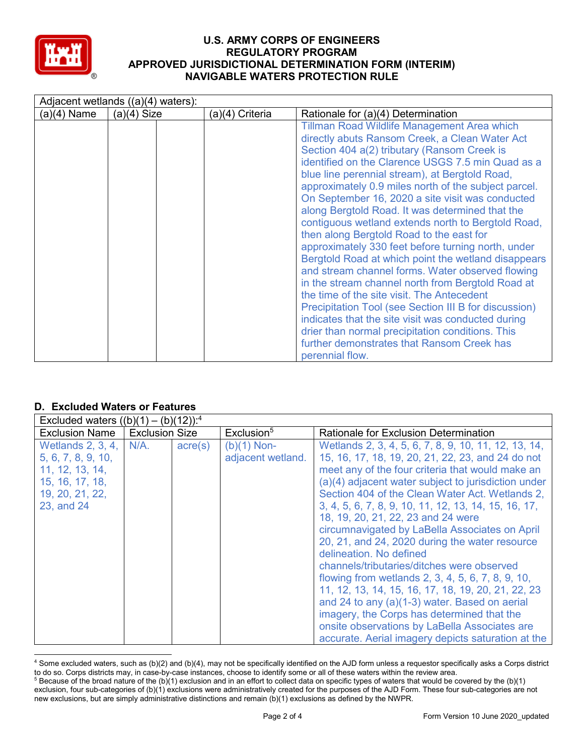

| Adjacent wetlands $((a)(4)$ waters): |               |                 |                                                                                                                                                                                                                                                                                                                                                                                                                                                                                                                                                                                                                                                                                                                                                                                                                                                                                                                                                                                                                              |  |  |  |
|--------------------------------------|---------------|-----------------|------------------------------------------------------------------------------------------------------------------------------------------------------------------------------------------------------------------------------------------------------------------------------------------------------------------------------------------------------------------------------------------------------------------------------------------------------------------------------------------------------------------------------------------------------------------------------------------------------------------------------------------------------------------------------------------------------------------------------------------------------------------------------------------------------------------------------------------------------------------------------------------------------------------------------------------------------------------------------------------------------------------------------|--|--|--|
| $(a)(4)$ Name                        | $(a)(4)$ Size | (a)(4) Criteria | Rationale for (a)(4) Determination                                                                                                                                                                                                                                                                                                                                                                                                                                                                                                                                                                                                                                                                                                                                                                                                                                                                                                                                                                                           |  |  |  |
|                                      |               |                 | Tillman Road Wildlife Management Area which<br>directly abuts Ransom Creek, a Clean Water Act<br>Section 404 a(2) tributary (Ransom Creek is<br>identified on the Clarence USGS 7.5 min Quad as a<br>blue line perennial stream), at Bergtold Road,<br>approximately 0.9 miles north of the subject parcel.<br>On September 16, 2020 a site visit was conducted<br>along Bergtold Road. It was determined that the<br>contiguous wetland extends north to Bergtold Road,<br>then along Bergtold Road to the east for<br>approximately 330 feet before turning north, under<br>Bergtold Road at which point the wetland disappears<br>and stream channel forms. Water observed flowing<br>in the stream channel north from Bergtold Road at<br>the time of the site visit. The Antecedent<br>Precipitation Tool (see Section III B for discussion)<br>indicates that the site visit was conducted during<br>drier than normal precipitation conditions. This<br>further demonstrates that Ransom Creek has<br>perennial flow. |  |  |  |

### **D. Excluded Waters or Features**

|                       | Excluded waters $((b)(1) -$<br>$(b)(12))$ : <sup>4</sup> |                  |                        |                                                      |  |  |  |
|-----------------------|----------------------------------------------------------|------------------|------------------------|------------------------------------------------------|--|--|--|
| <b>Exclusion Name</b> | <b>Exclusion Size</b>                                    |                  | Exclusion <sup>5</sup> | Rationale for Exclusion Determination                |  |  |  |
| Wetlands 2, 3, 4,     | $N/A$ .                                                  | $\text{acre}(s)$ | $(b)(1)$ Non-          | Wetlands 2, 3, 4, 5, 6, 7, 8, 9, 10, 11, 12, 13, 14, |  |  |  |
| 5, 6, 7, 8, 9, 10,    |                                                          |                  | adjacent wetland.      | 15, 16, 17, 18, 19, 20, 21, 22, 23, and 24 do not    |  |  |  |
| 11, 12, 13, 14,       |                                                          |                  |                        | meet any of the four criteria that would make an     |  |  |  |
| 15, 16, 17, 18,       |                                                          |                  |                        | (a)(4) adjacent water subject to jurisdiction under  |  |  |  |
| 19, 20, 21, 22,       |                                                          |                  |                        | Section 404 of the Clean Water Act. Wetlands 2.      |  |  |  |
| 23, and 24            |                                                          |                  |                        | 3, 4, 5, 6, 7, 8, 9, 10, 11, 12, 13, 14, 15, 16, 17, |  |  |  |
|                       |                                                          |                  |                        | 18, 19, 20, 21, 22, 23 and 24 were                   |  |  |  |
|                       |                                                          |                  |                        | circumnavigated by LaBella Associates on April       |  |  |  |
|                       |                                                          |                  |                        | 20, 21, and 24, 2020 during the water resource       |  |  |  |
|                       |                                                          |                  |                        | delineation. No defined                              |  |  |  |
|                       |                                                          |                  |                        | channels/tributaries/ditches were observed           |  |  |  |
|                       |                                                          |                  |                        | flowing from wetlands 2, 3, 4, 5, 6, 7, 8, 9, 10,    |  |  |  |
|                       |                                                          |                  |                        | 11, 12, 13, 14, 15, 16, 17, 18, 19, 20, 21, 22, 23   |  |  |  |
|                       |                                                          |                  |                        | and 24 to any (a)(1-3) water. Based on aerial        |  |  |  |
|                       |                                                          |                  |                        | imagery, the Corps has determined that the           |  |  |  |
|                       |                                                          |                  |                        | onsite observations by LaBella Associates are        |  |  |  |
|                       |                                                          |                  |                        | accurate. Aerial imagery depicts saturation at the   |  |  |  |

 <sup>4</sup> Some excluded waters, such as (b)(2) and (b)(4), may not be specifically identified on the AJD form unless a requestor specifically asks a Corps district to do so. Corps districts may, in case-by-case instances, choose to identify some or all of these waters within the review area. <sup>5</sup> Because of the broad nature of the (b)(1) exclusion and in an effort to collect data on specific types of waters that would be covered by the (b)(1)

exclusion, four sub-categories of (b)(1) exclusions were administratively created for the purposes of the AJD Form. These four sub-categories are not new exclusions, but are simply administrative distinctions and remain (b)(1) exclusions as defined by the NWPR.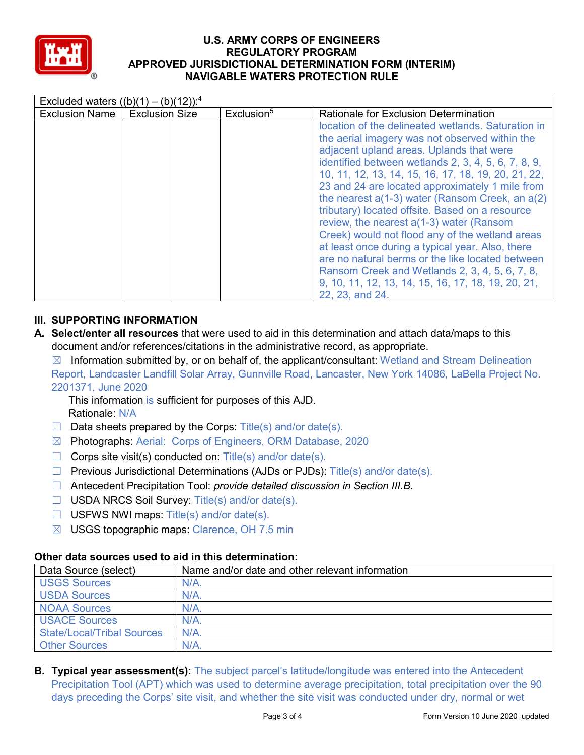

| Excluded waters $((b)(1) - (b)(12))$ : <sup>4</sup> |                       |                        |                                                                                                                                                                                                                                                                                                                                                                                                                                                                                                                                                                                                                                                                                                                                                                   |  |  |
|-----------------------------------------------------|-----------------------|------------------------|-------------------------------------------------------------------------------------------------------------------------------------------------------------------------------------------------------------------------------------------------------------------------------------------------------------------------------------------------------------------------------------------------------------------------------------------------------------------------------------------------------------------------------------------------------------------------------------------------------------------------------------------------------------------------------------------------------------------------------------------------------------------|--|--|
| <b>Exclusion Name</b>                               | <b>Exclusion Size</b> | Exclusion <sup>5</sup> | Rationale for Exclusion Determination                                                                                                                                                                                                                                                                                                                                                                                                                                                                                                                                                                                                                                                                                                                             |  |  |
|                                                     |                       |                        | location of the delineated wetlands. Saturation in<br>the aerial imagery was not observed within the<br>adjacent upland areas. Uplands that were<br>identified between wetlands 2, 3, 4, 5, 6, 7, 8, 9,<br>10, 11, 12, 13, 14, 15, 16, 17, 18, 19, 20, 21, 22,<br>23 and 24 are located approximately 1 mile from<br>the nearest $a(1-3)$ water (Ransom Creek, an $a(2)$ )<br>tributary) located offsite. Based on a resource<br>review, the nearest $a(1-3)$ water (Ransom<br>Creek) would not flood any of the wetland areas<br>at least once during a typical year. Also, there<br>are no natural berms or the like located between<br>Ransom Creek and Wetlands 2, 3, 4, 5, 6, 7, 8,<br>9, 10, 11, 12, 13, 14, 15, 16, 17, 18, 19, 20, 21,<br>22, 23, and 24. |  |  |

# **III. SUPPORTING INFORMATION**

**A. Select/enter all resources** that were used to aid in this determination and attach data/maps to this document and/or references/citations in the administrative record, as appropriate.

 $\boxtimes$  Information submitted by, or on behalf of, the applicant/consultant: Wetland and Stream Delineation Report, Landcaster Landfill Solar Array, Gunnville Road, Lancaster, New York 14086, LaBella Project No. 2201371, June 2020

This information is sufficient for purposes of this AJD. Rationale: N/A

- $\Box$  Data sheets prepared by the Corps: Title(s) and/or date(s).
- ☒ Photographs: Aerial: Corps of Engineers, ORM Database, 2020
- $\Box$  Corps site visit(s) conducted on: Title(s) and/or date(s).
- $\Box$  Previous Jurisdictional Determinations (AJDs or PJDs): Title(s) and/or date(s).
- ☐ Antecedent Precipitation Tool: *provide detailed discussion in Section III.B*.
- ☐ USDA NRCS Soil Survey: Title(s) and/or date(s).
- $\Box$  USFWS NWI maps: Title(s) and/or date(s).
- ☒ USGS topographic maps: Clarence, OH 7.5 min

### **Other data sources used to aid in this determination:**

| Data Source (select)              | Name and/or date and other relevant information |
|-----------------------------------|-------------------------------------------------|
| <b>USGS Sources</b>               | $N/A$ .                                         |
| <b>USDA Sources</b>               | $N/A$ .                                         |
| <b>NOAA Sources</b>               | $N/A$ .                                         |
| <b>USACE Sources</b>              | N/A                                             |
| <b>State/Local/Tribal Sources</b> | $N/A$ .                                         |
| <b>Other Sources</b>              | N/A                                             |

**B. Typical year assessment(s):** The subject parcel's latitude/longitude was entered into the Antecedent Precipitation Tool (APT) which was used to determine average precipitation, total precipitation over the 90 days preceding the Corps' site visit, and whether the site visit was conducted under dry, normal or wet